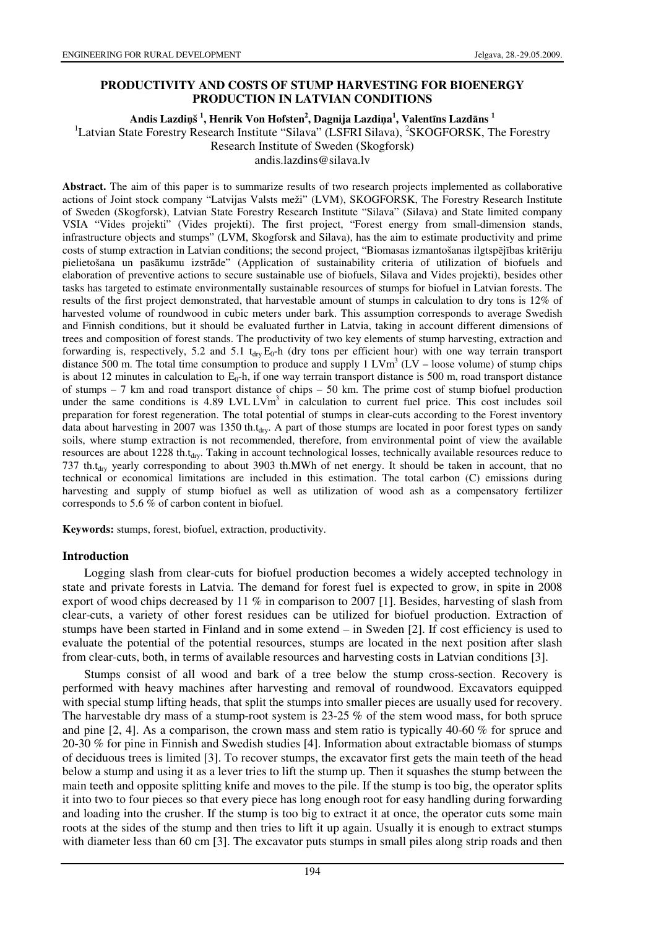#### **PRODUCTIVITY AND COSTS OF STUMP HARVESTING FOR BIOENERGY PRODUCTION IN LATVIAN CONDITIONS**

**Andis Lazdi**ņ**š <sup>1</sup> , Henrik Von Hofsten<sup>2</sup> , Dagnija Lazdi**ņ**a 1 , Valent**ī**ns Lazd**ā**ns <sup>1</sup>** <sup>1</sup>Latvian State Forestry Research Institute "Silava" (LSFRI Silava), <sup>2</sup>SKOGFORSK, The Forestry Research Institute of Sweden (Skogforsk)

andis.lazdins@silava.lv

**Abstract.** The aim of this paper is to summarize results of two research projects implemented as collaborative actions of Joint stock company "Latvijas Valsts meži" (LVM), SKOGFORSK, The Forestry Research Institute of Sweden (Skogforsk), Latvian State Forestry Research Institute "Silava" (Silava) and State limited company VSIA "Vides projekti" (Vides projekti). The first project, "Forest energy from small-dimension stands, infrastructure objects and stumps" (LVM, Skogforsk and Silava), has the aim to estimate productivity and prime costs of stump extraction in Latvian conditions; the second project, "Biomasas izmantošanas ilgtspējības kritēriju pielietošana un pasākumu izstrāde" (Application of sustainability criteria of utilization of biofuels and elaboration of preventive actions to secure sustainable use of biofuels, Silava and Vides projekti), besides other tasks has targeted to estimate environmentally sustainable resources of stumps for biofuel in Latvian forests. The results of the first project demonstrated, that harvestable amount of stumps in calculation to dry tons is 12% of harvested volume of roundwood in cubic meters under bark. This assumption corresponds to average Swedish and Finnish conditions, but it should be evaluated further in Latvia, taking in account different dimensions of trees and composition of forest stands. The productivity of two key elements of stump harvesting, extraction and forwarding is, respectively, 5.2 and 5.1  $t_{\text{div}}E_0$ -h (dry tons per efficient hour) with one way terrain transport distance 500 m. The total time consumption to produce and supply  $1 LVm<sup>3</sup> (LV - loose volume)$  of stump chips is about 12 minutes in calculation to  $E_0$ -h, if one way terrain transport distance is 500 m, road transport distance of stumps – 7 km and road transport distance of chips – 50 km. The prime cost of stump biofuel production under the same conditions is  $4.89$  LVL LVm<sup>3</sup> in calculation to current fuel price. This cost includes soil preparation for forest regeneration. The total potential of stumps in clear-cuts according to the Forest inventory data about harvesting in 2007 was 1350 th.tdry. A part of those stumps are located in poor forest types on sandy soils, where stump extraction is not recommended, therefore, from environmental point of view the available resources are about 1228 th.tdry. Taking in account technological losses, technically available resources reduce to 737 th.t<sub>dry</sub> yearly corresponding to about 3903 th.MWh of net energy. It should be taken in account, that no technical or economical limitations are included in this estimation. The total carbon (C) emissions during harvesting and supply of stump biofuel as well as utilization of wood ash as a compensatory fertilizer corresponds to 5.6 % of carbon content in biofuel.

**Keywords:** stumps, forest, biofuel, extraction, productivity.

#### **Introduction**

Logging slash from clear-cuts for biofuel production becomes a widely accepted technology in state and private forests in Latvia. The demand for forest fuel is expected to grow, in spite in 2008 export of wood chips decreased by 11 % in comparison to 2007 [1]. Besides, harvesting of slash from clear-cuts, a variety of other forest residues can be utilized for biofuel production. Extraction of stumps have been started in Finland and in some extend – in Sweden [2]. If cost efficiency is used to evaluate the potential of the potential resources, stumps are located in the next position after slash from clear-cuts, both, in terms of available resources and harvesting costs in Latvian conditions [3].

Stumps consist of all wood and bark of a tree below the stump cross-section. Recovery is performed with heavy machines after harvesting and removal of roundwood. Excavators equipped with special stump lifting heads, that split the stumps into smaller pieces are usually used for recovery. The harvestable dry mass of a stump-root system is 23-25 % of the stem wood mass, for both spruce and pine [2, 4]. As a comparison, the crown mass and stem ratio is typically 40-60 % for spruce and 20-30 % for pine in Finnish and Swedish studies [4]. Information about extractable biomass of stumps of deciduous trees is limited [3]. To recover stumps, the excavator first gets the main teeth of the head below a stump and using it as a lever tries to lift the stump up. Then it squashes the stump between the main teeth and opposite splitting knife and moves to the pile. If the stump is too big, the operator splits it into two to four pieces so that every piece has long enough root for easy handling during forwarding and loading into the crusher. If the stump is too big to extract it at once, the operator cuts some main roots at the sides of the stump and then tries to lift it up again. Usually it is enough to extract stumps with diameter less than 60 cm [3]. The excavator puts stumps in small piles along strip roads and then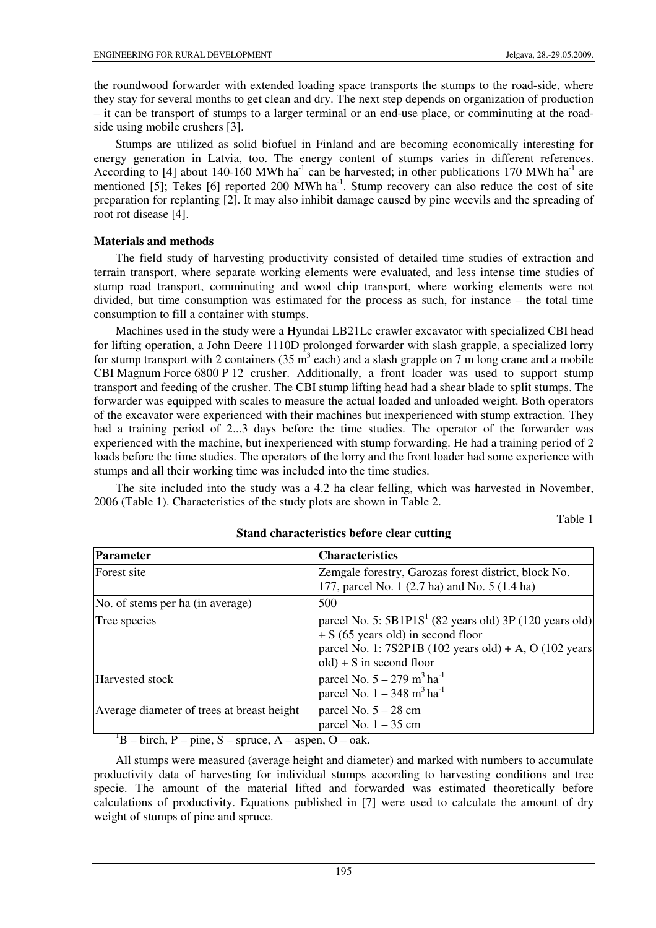the roundwood forwarder with extended loading space transports the stumps to the road-side, where they stay for several months to get clean and dry. The next step depends on organization of production – it can be transport of stumps to a larger terminal or an end-use place, or comminuting at the roadside using mobile crushers [3].

Stumps are utilized as solid biofuel in Finland and are becoming economically interesting for energy generation in Latvia, too. The energy content of stumps varies in different references. According to [4] about 140-160 MWh ha<sup>-1</sup> can be harvested; in other publications 170 MWh ha<sup>-1</sup> are mentioned  $[5]$ ; Tekes  $[6]$  reported 200 MWh ha<sup>-1</sup>. Stump recovery can also reduce the cost of site preparation for replanting [2]. It may also inhibit damage caused by pine weevils and the spreading of root rot disease [4].

## **Materials and methods**

The field study of harvesting productivity consisted of detailed time studies of extraction and terrain transport, where separate working elements were evaluated, and less intense time studies of stump road transport, comminuting and wood chip transport, where working elements were not divided, but time consumption was estimated for the process as such, for instance – the total time consumption to fill a container with stumps.

Machines used in the study were a Hyundai LB21Lc crawler excavator with specialized CBI head for lifting operation, a John Deere 1110D prolonged forwarder with slash grapple, a specialized lorry for stump transport with 2 containers (35  $\text{m}^3$  each) and a slash grapple on 7 m long crane and a mobile CBI Magnum Force 6800 P 12 crusher. Additionally, a front loader was used to support stump transport and feeding of the crusher. The CBI stump lifting head had a shear blade to split stumps. The forwarder was equipped with scales to measure the actual loaded and unloaded weight. Both operators of the excavator were experienced with their machines but inexperienced with stump extraction. They had a training period of 2...3 days before the time studies. The operator of the forwarder was experienced with the machine, but inexperienced with stump forwarding. He had a training period of 2 loads before the time studies. The operators of the lorry and the front loader had some experience with stumps and all their working time was included into the time studies.

The site included into the study was a 4.2 ha clear felling, which was harvested in November, 2006 (Table 1). Characteristics of the study plots are shown in Table 2.

Table 1

| <b>Parameter</b>                           | <b>Characteristics</b>                                            |  |  |  |  |  |
|--------------------------------------------|-------------------------------------------------------------------|--|--|--|--|--|
| Forest site                                | Zemgale forestry, Garozas forest district, block No.              |  |  |  |  |  |
|                                            | 177, parcel No. 1 (2.7 ha) and No. 5 (1.4 ha)                     |  |  |  |  |  |
| No. of stems per ha (in average)           | 500                                                               |  |  |  |  |  |
| Tree species                               | parcel No. 5: $5B1P1S1$ (82 years old) 3P (120 years old)         |  |  |  |  |  |
|                                            | $+ S$ (65 years old) in second floor                              |  |  |  |  |  |
|                                            | parcel No. 1: $7S2P1B(102 \text{ years old}) + A$ , O (102 years) |  |  |  |  |  |
|                                            | $old$ + S in second floor                                         |  |  |  |  |  |
| Harvested stock                            | parcel No. $5 - 279$ m <sup>3</sup> ha <sup>-1</sup>              |  |  |  |  |  |
|                                            | parcel No. $1 - 348$ m <sup>3</sup> ha <sup>-1</sup>              |  |  |  |  |  |
| Average diameter of trees at breast height | parcel No. $5 - 28$ cm                                            |  |  |  |  |  |
|                                            | parcel No. $1 - 35$ cm                                            |  |  |  |  |  |

## **Stand characteristics before clear cutting**

 ${}^{1}B$  – birch, P – pine, S – spruce, A – aspen, O – oak.

All stumps were measured (average height and diameter) and marked with numbers to accumulate productivity data of harvesting for individual stumps according to harvesting conditions and tree specie. The amount of the material lifted and forwarded was estimated theoretically before calculations of productivity. Equations published in [7] were used to calculate the amount of dry weight of stumps of pine and spruce.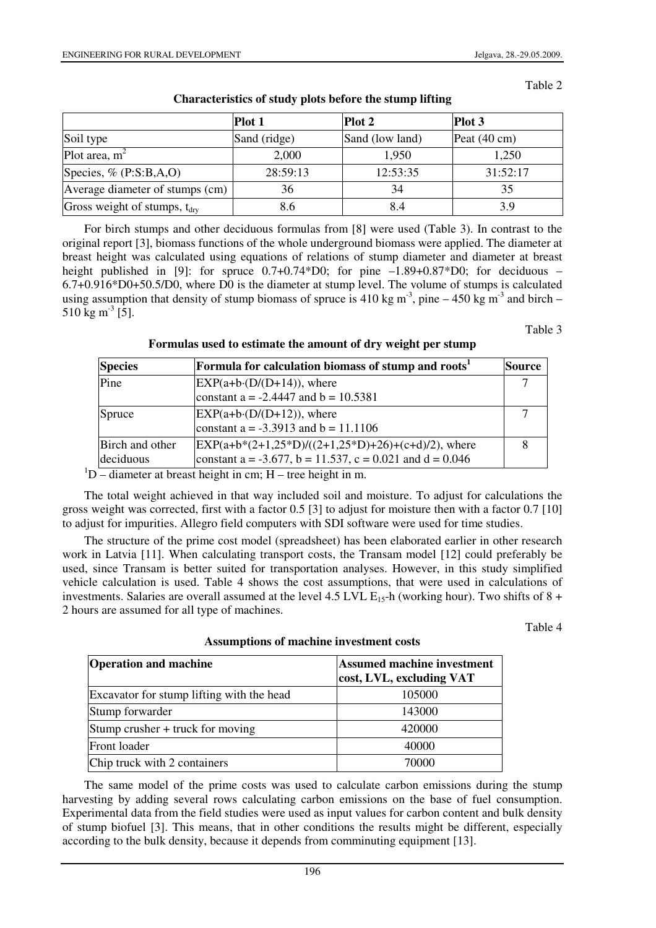Table 2

|                                          | Plot 1       | Plot 2          | Plot 3                 |
|------------------------------------------|--------------|-----------------|------------------------|
| Soil type                                | Sand (ridge) | Sand (low land) | Peat $(40 \text{ cm})$ |
| Plot area, $m^2$                         | 2,000        | 1,950           | 1,250                  |
| Species, $\%$ (P:S:B,A,O)                | 28:59:13     | 12:53:35        | 31:52:17               |
| Average diameter of stumps (cm)          | 36           | 34              | 35                     |
| Gross weight of stumps, $t_{\text{dry}}$ | 8.6          | 8.4             | 3.9                    |

## **Characteristics of study plots before the stump lifting**

For birch stumps and other deciduous formulas from [8] were used (Table 3). In contrast to the original report [3], biomass functions of the whole underground biomass were applied. The diameter at breast height was calculated using equations of relations of stump diameter and diameter at breast height published in [9]: for spruce  $0.7+0.74*B0$ ; for pine  $-1.89+0.87*D0$ ; for deciduous – 6.7+0.916\*D0+50.5/D0, where D0 is the diameter at stump level. The volume of stumps is calculated using assumption that density of stump biomass of spruce is 410 kg m<sup>-3</sup>, pine – 450 kg m<sup>-3</sup> and birch – 510 kg m<sup>-3</sup> [5].

Table 3

| <b>Species</b>               | Formula for calculation biomass of stump and roots <sup>1</sup>                                                  | Source |
|------------------------------|------------------------------------------------------------------------------------------------------------------|--------|
| Pine                         | $EXP(a+b( D/D+14)),$ where<br>constant a = $-2.4447$ and b = 10.5381                                             |        |
| Spruce                       | $EXP(a+b( D/D+12)),$ where<br>constant a = $-3.3913$ and b = 11.1106                                             |        |
| Birch and other<br>deciduous | $EXP(a+b*(2+1,25*D)/(2+1,25*D)+26)+(c+d)/2)$ , where<br>constant a = -3.677, b = 11.537, c = 0.021 and d = 0.046 |        |

**Formulas used to estimate the amount of dry weight per stump** 

 ${}^{1}D$  – diameter at breast height in cm; H – tree height in m.

The total weight achieved in that way included soil and moisture. To adjust for calculations the gross weight was corrected, first with a factor 0.5 [3] to adjust for moisture then with a factor 0.7 [10] to adjust for impurities. Allegro field computers with SDI software were used for time studies.

The structure of the prime cost model (spreadsheet) has been elaborated earlier in other research work in Latvia [11]. When calculating transport costs, the Transam model [12] could preferably be used, since Transam is better suited for transportation analyses. However, in this study simplified vehicle calculation is used. Table 4 shows the cost assumptions, that were used in calculations of investments. Salaries are overall assumed at the level 4.5 LVL  $E_{15}$ -h (working hour). Two shifts of 8 + 2 hours are assumed for all type of machines.

Table 4

| <b>Operation and machine</b>              | <b>Assumed machine investment</b><br>cost, LVL, excluding VAT |
|-------------------------------------------|---------------------------------------------------------------|
| Excavator for stump lifting with the head | 105000                                                        |
| Stump forwarder                           | 143000                                                        |
| Stump crusher + truck for moving          | 420000                                                        |
| Front loader                              | 40000                                                         |
| Chip truck with 2 containers              | 70000                                                         |

**Assumptions of machine investment costs** 

The same model of the prime costs was used to calculate carbon emissions during the stump harvesting by adding several rows calculating carbon emissions on the base of fuel consumption. Experimental data from the field studies were used as input values for carbon content and bulk density of stump biofuel [3]. This means, that in other conditions the results might be different, especially according to the bulk density, because it depends from comminuting equipment [13].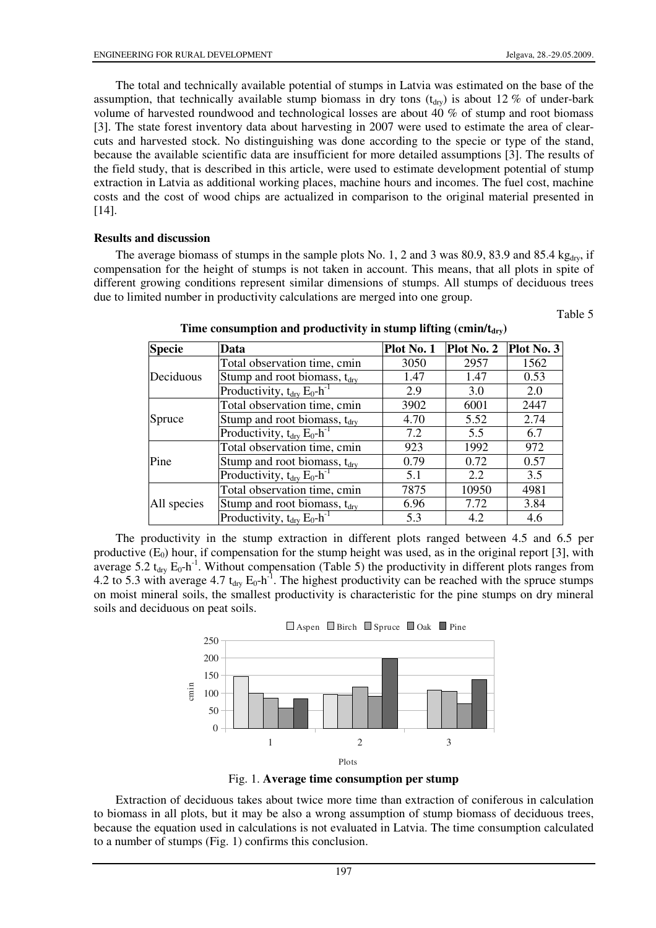The total and technically available potential of stumps in Latvia was estimated on the base of the assumption, that technically available stump biomass in dry tons  $(t_{\text{div}})$  is about 12 % of under-bark volume of harvested roundwood and technological losses are about 40 % of stump and root biomass [3]. The state forest inventory data about harvesting in 2007 were used to estimate the area of clearcuts and harvested stock. No distinguishing was done according to the specie or type of the stand, because the available scientific data are insufficient for more detailed assumptions [3]. The results of the field study, that is described in this article, were used to estimate development potential of stump extraction in Latvia as additional working places, machine hours and incomes. The fuel cost, machine costs and the cost of wood chips are actualized in comparison to the original material presented in [14].

#### **Results and discussion**

The average biomass of stumps in the sample plots No. 1, 2 and 3 was 80.9, 83.9 and 85.4 kg<sub>dry</sub>, if compensation for the height of stumps is not taken in account. This means, that all plots in spite of different growing conditions represent similar dimensions of stumps. All stumps of deciduous trees due to limited number in productivity calculations are merged into one group.

Table 5

| <b>Specie</b> | Data                                                                                                                                                                   | Plot No. 1 | Plot No. 2 | Plot No. 3 |
|---------------|------------------------------------------------------------------------------------------------------------------------------------------------------------------------|------------|------------|------------|
|               | Total observation time, cmin                                                                                                                                           | 3050       | 2957       | 1562       |
| Deciduous     | Stump and root biomass, $t_{\text{dry}}$                                                                                                                               | 1.47       | 1.47       | 0.53       |
|               | Productivity, $t_{\text{dry}} E_0 - h^{-1}$<br>Total observation time, cmin<br>Stump and root biomass, $t_{\text{dry}}$<br>Productivity, $t_{\text{dry}} E_0 - h^{-1}$ | 2.9        | 3.0        | 2.0        |
| Spruce        |                                                                                                                                                                        | 3902       | 6001       | 2447       |
|               |                                                                                                                                                                        | 4.70       | 5.52       | 2.74       |
|               |                                                                                                                                                                        | 7.2        | 5.5        | 6.7        |
| Pine          | Total observation time, cmin                                                                                                                                           | 923        | 1992       | 972        |
|               | Stump and root biomass, $t_{\text{drv}}$                                                                                                                               | 0.79       | 0.72       | 0.57       |
|               | Productivity, $t_{\text{dry}} E_0$ -h <sup>-1</sup>                                                                                                                    | 5.1        | 2.2        | 3.5        |
| All species   | Total observation time, cmin                                                                                                                                           | 7875       | 10950      | 4981       |
|               | Stump and root biomass, $t_{\text{drv}}$                                                                                                                               | 6.96       | 7.72       | 3.84       |
|               | Productivity, $t_{\text{dry}} E_0$ -h <sup>-1</sup>                                                                                                                    | 5.3        | 4.2        | 4.6        |

Time consumption and productivity in stump lifting  $(cmin/t_{\text{dry}})$ 

The productivity in the stump extraction in different plots ranged between 4.5 and 6.5 per productive  $(E_0)$  hour, if compensation for the stump height was used, as in the original report [3], with average 5.2  $t_{\text{dry}} E_0-h^{-1}$ . Without compensation (Table 5) the productivity in different plots ranges from 4.2 to 5.3 with average 4.7  $t_{\text{dry}} E_0-h^{-1}$ . The highest productivity can be reached with the spruce stumps on moist mineral soils, the smallest productivity is characteristic for the pine stumps on dry mineral soils and deciduous on peat soils.



Fig. 1. **Average time consumption per stump**

Extraction of deciduous takes about twice more time than extraction of coniferous in calculation to biomass in all plots, but it may be also a wrong assumption of stump biomass of deciduous trees, because the equation used in calculations is not evaluated in Latvia. The time consumption calculated to a number of stumps (Fig. 1) confirms this conclusion.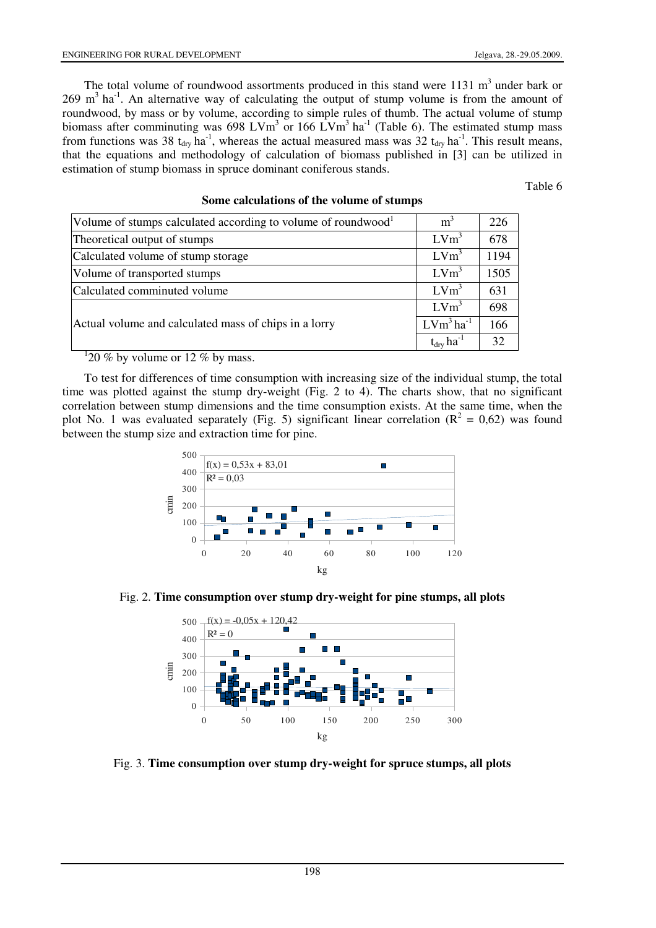The total volume of roundwood assortments produced in this stand were  $1131 \text{ m}^3$  under bark or  $269 \text{ m}^3$  ha<sup>-1</sup>. An alternative way of calculating the output of stump volume is from the amount of roundwood, by mass or by volume, according to simple rules of thumb. The actual volume of stump biomass after comminuting was 698 LVm<sup>3</sup> or 166 LVm<sup>3</sup> ha<sup>-1</sup> (Table 6). The estimated stump mass from functions was 38  $t_{\text{dry}}$  ha<sup>-1</sup>, whereas the actual measured mass was 32  $t_{\text{dry}}$  ha<sup>-1</sup>. This result means, that the equations and methodology of calculation of biomass published in [3] can be utilized in estimation of stump biomass in spruce dominant coniferous stands.

Table 6

| Volume of stumps calculated according to volume of roundwood | m <sup>3</sup>                 | 226  |
|--------------------------------------------------------------|--------------------------------|------|
| Theoretical output of stumps                                 | $LVm^3$                        | 678  |
| Calculated volume of stump storage                           | $LVm^3$                        | 1194 |
| Volume of transported stumps                                 | $LVm^3$                        | 1505 |
| Calculated comminuted volume                                 | $LVm^3$                        | 631  |
|                                                              | $LVm^3$                        | 698  |
| Actual volume and calculated mass of chips in a lorry        | $LVm3ha-1$                     | 166  |
|                                                              | $t_{\rm dry}$ ha <sup>-1</sup> | 32   |

#### **Some calculations of the volume of stumps**

 $120\%$  by volume or 12 % by mass.

To test for differences of time consumption with increasing size of the individual stump, the total time was plotted against the stump dry-weight (Fig. 2 to 4). The charts show, that no significant correlation between stump dimensions and the time consumption exists. At the same time, when the plot No. 1 was evaluated separately (Fig. 5) significant linear correlation ( $R^2 = 0.62$ ) was found between the stump size and extraction time for pine.



Fig. 2. **Time consumption over stump dry-weight for pine stumps, all plots**



Fig. 3. **Time consumption over stump dry-weight for spruce stumps, all plots**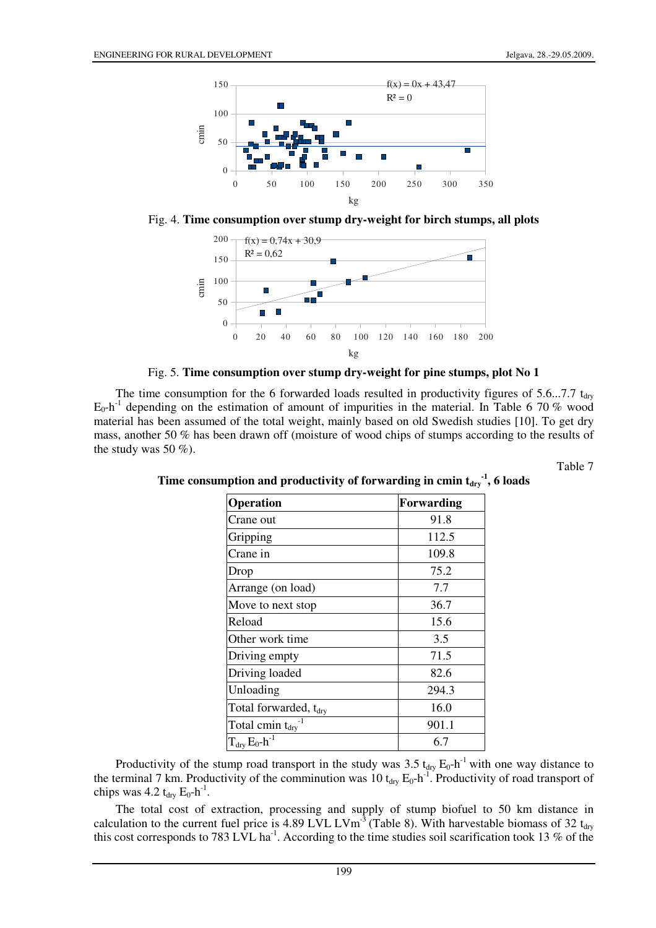

Fig. 4. **Time consumption over stump dry-weight for birch stumps, all plots** 



Fig. 5. **Time consumption over stump dry-weight for pine stumps, plot No 1** 

The time consumption for the 6 forwarded loads resulted in productivity figures of  $5.6...7.7$  t<sub>dry</sub>  $E_0-h^{-1}$  depending on the estimation of amount of impurities in the material. In Table 6 70 % wood material has been assumed of the total weight, mainly based on old Swedish studies [10]. To get dry mass, another 50 % has been drawn off (moisture of wood chips of stumps according to the results of the study was 50 %).

Table 7

| Operation                            | Forwarding |
|--------------------------------------|------------|
| Crane out                            | 91.8       |
| Gripping                             | 112.5      |
| Crane in                             | 109.8      |
| Drop                                 | 75.2       |
| Arrange (on load)                    | 7.7        |
| Move to next stop                    | 36.7       |
| Reload                               | 15.6       |
| Other work time                      | 3.5        |
| Driving empty                        | 71.5       |
| Driving loaded                       | 82.6       |
| Unloading                            | 294.3      |
| Total forwarded, t <sub>dry</sub>    | 16.0       |
| Total cmin $t_{\text{dry}}$          | 901.1      |
| $T_{\text{dry}}E_0$ -h <sup>-1</sup> | 6.7        |

Time consumption and productivity of forwarding in cmin  $t_{\text{dry}}^{-1}$ , 6 loads

Productivity of the stump road transport in the study was 3.5  $t_{\text{dry}} E_0$ -h<sup>-1</sup> with one way distance to the terminal 7 km. Productivity of the comminution was 10  $t_{\text{dry}}$   $E_0$ -h<sup>-1</sup>. Productivity of road transport of chips was 4.2  $t_{\text{dry}} E_0$ -h<sup>-1</sup>.

The total cost of extraction, processing and supply of stump biofuel to 50 km distance in calculation to the current fuel price is 4.89 LVL LVm<sup>-3</sup> (Table 8). With harvestable biomass of 32 t<sub>dry</sub> this cost corresponds to 783 LVL ha<sup>-1</sup>. According to the time studies soil scarification took 13 % of the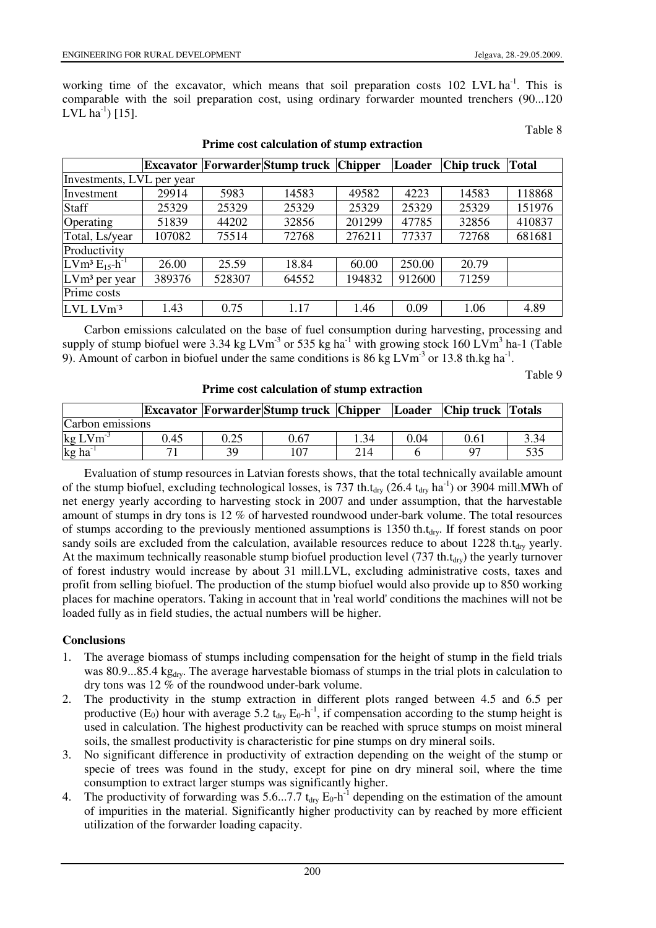working time of the excavator, which means that soil preparation costs 102 LVL ha<sup>-1</sup>. This is comparable with the soil preparation cost, using ordinary forwarder mounted trenchers (90...120 LVL  $ha^{-1}$ ) [15].

Table 8

|                           |        |        | <b>Excavator Forwarder Stump truck Chipper</b> |        | Loader | Chip truck | <b>Total</b> |
|---------------------------|--------|--------|------------------------------------------------|--------|--------|------------|--------------|
| Investments, LVL per year |        |        |                                                |        |        |            |              |
| Investment                | 29914  | 5983   | 14583                                          | 49582  | 4223   | 14583      | 118868       |
| Staff                     | 25329  | 25329  | 25329                                          | 25329  | 25329  | 25329      | 151976       |
| Operating                 | 51839  | 44202  | 32856                                          | 201299 | 47785  | 32856      | 410837       |
| Total, Ls/year            | 107082 | 75514  | 72768                                          | 276211 | 77337  | 72768      | 681681       |
| Productivity              |        |        |                                                |        |        |            |              |
| $LVm^3 E_{15}h^{-1}$      | 26.00  | 25.59  | 18.84                                          | 60.00  | 250.00 | 20.79      |              |
| $LVm3$ per year           | 389376 | 528307 | 64552                                          | 194832 | 912600 | 71259      |              |
| Prime costs               |        |        |                                                |        |        |            |              |
| $LVL LVm-3$               | 1.43   | 0.75   | 1.17                                           | 1.46   | 0.09   | 1.06       | 4.89         |

## **Prime cost calculation of stump extraction**

Carbon emissions calculated on the base of fuel consumption during harvesting, processing and supply of stump biofuel were 3.34 kg  $LVm^3$  or 535 kg ha<sup>-1</sup> with growing stock 160  $\overline{LVm}^3$  ha-1 (Table 9). Amount of carbon in biofuel under the same conditions is 86 kg  $LVm^{-3}$  or 13.8 th.kg ha<sup>-1</sup>.

Table 9

**Prime cost calculation of stump extraction** 

|                      |      |      | <b>Excavator Forwarder Stump truck Chipper Loader Chip truck Totals</b> |      |      |          |      |
|----------------------|------|------|-------------------------------------------------------------------------|------|------|----------|------|
| Carbon emissions     |      |      |                                                                         |      |      |          |      |
| $\text{kg LVm}^{-3}$ | 0.45 | 0.25 | 0.67                                                                    | 1.34 | 0.04 | 0.61     | 3.34 |
| kg ha <sup>-1</sup>  |      | 39   | 107                                                                     | 214  |      | $\Omega$ |      |

Evaluation of stump resources in Latvian forests shows, that the total technically available amount of the stump biofuel, excluding technological losses, is 737 th.t<sub>dry</sub> (26.4 t<sub>dry</sub> ha<sup>-1</sup>) or 3904 mill.MWh of net energy yearly according to harvesting stock in 2007 and under assumption, that the harvestable amount of stumps in dry tons is 12 % of harvested roundwood under-bark volume. The total resources of stumps according to the previously mentioned assumptions is  $1350$  th.t<sub>dry</sub>. If forest stands on poor sandy soils are excluded from the calculation, available resources reduce to about 1228 th.t<sub>dry</sub> yearly. At the maximum technically reasonable stump biofuel production level  $(737 \text{ th.t.}_{\text{dry}})$  the yearly turnover of forest industry would increase by about 31 mill.LVL, excluding administrative costs, taxes and profit from selling biofuel. The production of the stump biofuel would also provide up to 850 working places for machine operators. Taking in account that in 'real world' conditions the machines will not be loaded fully as in field studies, the actual numbers will be higher.

# **Conclusions**

- 1. The average biomass of stumps including compensation for the height of stump in the field trials was 80.9...85.4 kg<sub>dry</sub>. The average harvestable biomass of stumps in the trial plots in calculation to dry tons was 12 % of the roundwood under-bark volume.
- 2. The productivity in the stump extraction in different plots ranged between 4.5 and 6.5 per productive (E<sub>0</sub>) hour with average 5.2 t<sub>dry</sub>  $E_0$ -h<sup>-1</sup>, if compensation according to the stump height is used in calculation. The highest productivity can be reached with spruce stumps on moist mineral soils, the smallest productivity is characteristic for pine stumps on dry mineral soils.
- 3. No significant difference in productivity of extraction depending on the weight of the stump or specie of trees was found in the study, except for pine on dry mineral soil, where the time consumption to extract larger stumps was significantly higher.
- 4. The productivity of forwarding was  $5.6...7.7 t_{\text{dry}} E_0-h^{-1}$  depending on the estimation of the amount of impurities in the material. Significantly higher productivity can by reached by more efficient utilization of the forwarder loading capacity.